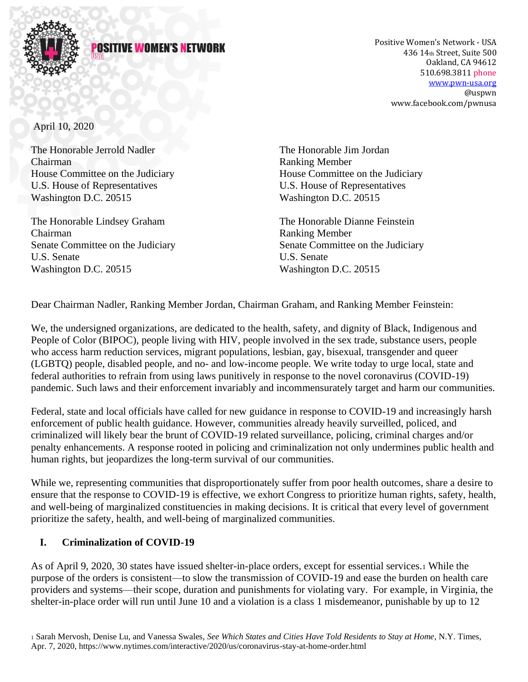

#### POSITIVE WOMEN'S NET

Positive Women's Network - USA 436 14th Street, Suite 500 Oakland, CA 94612 510.698.3811 phone [www.pwn-usa.org](http://www.pwn-usa.org/) @uspwn www.facebook.com/pwnusa

April 10, 2020

The Honorable Jerrold Nadler The Honorable Jim Jordan Chairman Ranking Member U.S. House of Representatives U.S. House of Representatives Washington D.C. 20515 Washington D.C. 20515

The Honorable Lindsey Graham The Honorable Dianne Feinstein Chairman Ranking Member U.S. Senate U.S. Senate Washington D.C. 20515 Washington D.C. 20515

House Committee on the Judiciary House Committee on the Judiciary

Senate Committee on the Judiciary Senate Committee on the Judiciary

Dear Chairman Nadler, Ranking Member Jordan, Chairman Graham, and Ranking Member Feinstein:

We, the undersigned organizations, are dedicated to the health, safety, and dignity of Black, Indigenous and People of Color (BIPOC), people living with HIV, people involved in the sex trade, substance users, people who access harm reduction services, migrant populations, lesbian, gay, bisexual, transgender and queer (LGBTQ) people, disabled people, and no- and low-income people. We write today to urge local, state and federal authorities to refrain from using laws punitively in response to the novel coronavirus (COVID-19) pandemic. Such laws and their enforcement invariably and incommensurately target and harm our communities.

Federal, state and local officials have called for new guidance in response to COVID-19 and increasingly harsh enforcement of public health guidance. However, communities already heavily surveilled, policed, and criminalized will likely bear the brunt of COVID-19 related surveillance, policing, criminal charges and/or penalty enhancements. A response rooted in policing and criminalization not only undermines public health and human rights, but jeopardizes the long-term survival of our communities.

While we, representing communities that disproportionately suffer from poor health outcomes, share a desire to ensure that the response to COVID-19 is effective, we exhort Congress to prioritize human rights, safety, health, and well-being of marginalized constituencies in making decisions. It is critical that every level of government prioritize the safety, health, and well-being of marginalized communities.

### **I. Criminalization of COVID-19**

As of April 9, 2020, 30 states have issued shelter-in-place orders, except for essential services.<sup>1</sup> While the purpose of the orders is consistent—to slow the transmission of COVID-19 and ease the burden on health care providers and systems—their scope, duration and punishments for violating vary. For example, in Virginia, the shelter-in-place order will run until June 10 and a violation is a class 1 misdemeanor, punishable by up to 12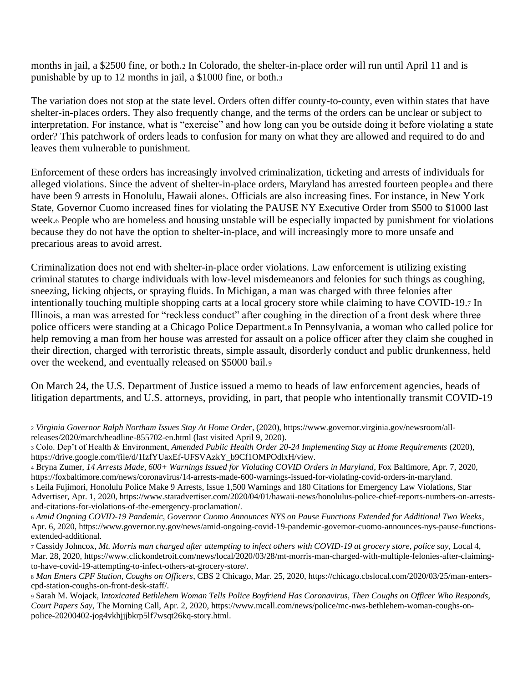months in jail, a \$2500 fine, or both.<sup>2</sup> In Colorado, the shelter-in-place order will run until April 11 and is punishable by up to 12 months in jail, a \$1000 fine, or both.<sup>3</sup>

The variation does not stop at the state level. Orders often differ county-to-county, even within states that have shelter-in-places orders. They also frequently change, and the terms of the orders can be unclear or subject to interpretation. For instance, what is "exercise" and how long can you be outside doing it before violating a state order? This patchwork of orders leads to confusion for many on what they are allowed and required to do and leaves them vulnerable to punishment.

Enforcement of these orders has increasingly involved criminalization, ticketing and arrests of individuals for alleged violations. Since the advent of shelter-in-place orders, Maryland has arrested fourteen people<sup>4</sup> and there have been 9 arrests in Honolulu, Hawaii alones. Officials are also increasing fines. For instance, in New York State, Governor Cuomo increased fines for violating the PAUSE NY Executive Order from \$500 to \$1000 last week.<sup>6</sup> People who are homeless and housing unstable will be especially impacted by punishment for violations because they do not have the option to shelter-in-place, and will increasingly more to more unsafe and precarious areas to avoid arrest.

Criminalization does not end with shelter-in-place order violations. Law enforcement is utilizing existing criminal statutes to charge individuals with low-level misdemeanors and felonies for such things as coughing, sneezing, licking objects, or spraying fluids. In Michigan, a man was charged with three felonies after intentionally touching multiple shopping carts at a local grocery store while claiming to have COVID-19.<sup>7</sup> In Illinois, a man was arrested for "reckless conduct" after coughing in the direction of a front desk where three police officers were standing at a Chicago Police Department.<sup>8</sup> In Pennsylvania, a woman who called police for help removing a man from her house was arrested for assault on a police officer after they claim she coughed in their direction, charged with terroristic threats, simple assault, disorderly conduct and public drunkenness, held over the weekend, and eventually released on \$5000 bail.<sup>9</sup>

On March 24, the U.S. Department of Justice issued a memo to heads of law enforcement agencies, heads of litigation departments, and U.S. attorneys, providing, in part, that people who intentionally transmit COVID-19

<sup>7</sup> Cassidy Johncox, *Mt. Morris man charged after attempting to infect others with COVID-19 at grocery store, police say*, Local 4, Mar. 28, 2020, https://www.clickondetroit.com/news/local/2020/03/28/mt-morris-man-charged-with-multiple-felonies-after-claimingto-have-covid-19-attempting-to-infect-others-at-grocery-store/*.*

<sup>2</sup> *Virginia Governor Ralph Northam Issues Stay At Home Order*, (2020), https://www.governor.virginia.gov/newsroom/allreleases/2020/march/headline-855702-en.html (last visited April 9, 2020).

<sup>3</sup> Colo. Dep't of Health & Environment, *Amended Public Health Order 20-24 Implementing Stay at Home Requirements* (2020), https://drive.google.com/file/d/1IzfYUaxEf-UFSVAzkY\_b9Cf1OMPOdlxH/view.

<sup>4</sup> Bryna Zumer, *14 Arrests Made, 600+ Warnings Issued for Violating COVID Orders in Maryland*, Fox Baltimore, Apr. 7, 2020, https://foxbaltimore.com/news/coronavirus/14-arrests-made-600-warnings-issued-for-violating-covid-orders-in-maryland. <sup>5</sup> Leila Fujimori, Honolulu Police Make 9 Arrests, Issue 1,500 Warnings and 180 Citations for Emergency Law Violations, Star Advertiser, Apr. 1, 2020, https://www.staradvertiser.com/2020/04/01/hawaii-news/honolulus-police-chief-reports-numbers-on-arrestsand-citations-for-violations-of-the-emergency-proclamation/.

<sup>6</sup> *Amid Ongoing COVID-19 Pandemic, Governor Cuomo Announces NYS on Pause Functions Extended for Additional Two Weeks*, Apr. 6, 2020, https://www.governor.ny.gov/news/amid-ongoing-covid-19-pandemic-governor-cuomo-announces-nys-pause-functionsextended-additional.

<sup>8</sup> *Man Enters CPF Station, Coughs on Officers*, CBS 2 Chicago, Mar. 25, 2020, https://chicago.cbslocal.com/2020/03/25/man-enterscpd-station-coughs-on-front-desk-staff/.

<sup>9</sup> Sarah M. Wojack, I*ntoxicated Bethlehem Woman Tells Police Boyfriend Has Coronavirus, Then Coughs on Officer Who Responds, Court Papers Say*, The Morning Call, Apr. 2, 2020, https://www.mcall.com/news/police/mc-nws-bethlehem-woman-coughs-onpolice-20200402-jog4vkhjjjbkrp5lf7wsqt26kq-story.html.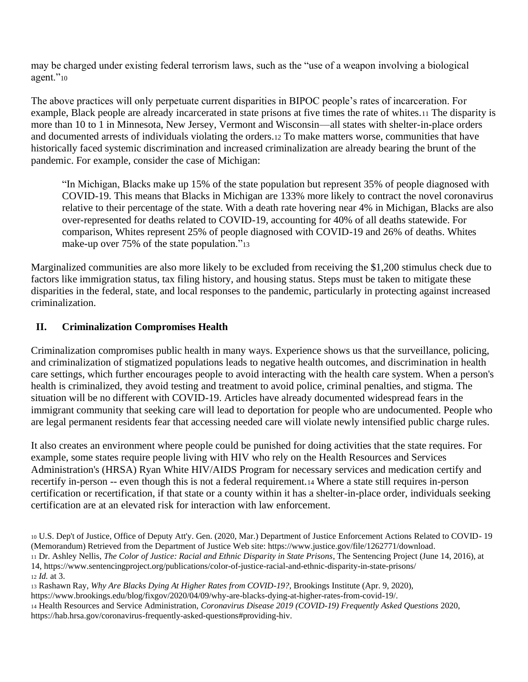may be charged under existing federal terrorism laws, such as the "use of a weapon involving a biological agent."10

The above practices will only perpetuate current disparities in BIPOC people's rates of incarceration. For example, Black people are already incarcerated in state prisons at five times the rate of whites.<sup>11</sup> The disparity is more than 10 to 1 in Minnesota, New Jersey, Vermont and Wisconsin—all states with shelter-in-place orders and documented arrests of individuals violating the orders.<sup>12</sup> To make matters worse, communities that have historically faced systemic discrimination and increased criminalization are already bearing the brunt of the pandemic. For example, consider the case of Michigan:

"In Michigan, Blacks make up 15% of the state population but represent 35% of people diagnosed with COVID-19. This means that Blacks in Michigan are 133% more likely to contract the novel coronavirus relative to their percentage of the state. With a death rate hovering near 4% in Michigan, Blacks are also over-represented for deaths related to COVID-19, accounting for 40% of all deaths statewide. For comparison, Whites represent 25% of people diagnosed with COVID-19 and 26% of deaths. Whites make-up over 75% of the state population."<sup>13</sup>

Marginalized communities are also more likely to be excluded from receiving the \$1,200 stimulus check due to factors like immigration status, tax filing history, and housing status. Steps must be taken to mitigate these disparities in the federal, state, and local responses to the pandemic, particularly in protecting against increased criminalization.

# **II. Criminalization Compromises Health**

Criminalization compromises public health in many ways. Experience shows us that the surveillance, policing, and criminalization of stigmatized populations leads to negative health outcomes, and discrimination in health care settings, which further encourages people to avoid interacting with the health care system. When a person's health is criminalized, they avoid testing and treatment to avoid police, criminal penalties, and stigma. The situation will be no different with COVID-19. Articles have already documented widespread fears in the immigrant community that seeking care will lead to deportation for people who are undocumented. People who are legal permanent residents fear that accessing needed care will violate newly intensified public charge rules.

It also creates an environment where people could be punished for doing activities that the state requires. For example, some states require people living with HIV who rely on the Health Resources and Services Administration's (HRSA) Ryan White HIV/AIDS Program for necessary services and medication certify and recertify in-person -- even though this is not a federal requirement.<sup>14</sup> Where a state still requires in-person certification or recertification, if that state or a county within it has a shelter-in-place order, individuals seeking certification are at an elevated risk for interaction with law enforcement.

https://www.brookings.edu/blog/fixgov/2020/04/09/why-are-blacks-dying-at-higher-rates-from-covid-19/.

<sup>10</sup> U.S. Dep't of Justice, Office of Deputy Att'y. Gen. (2020, Mar.) Department of Justice Enforcement Actions Related to COVID- 19 (Memorandum) Retrieved from the Department of Justice Web site: https://www.justice.gov/file/1262771/download. <sup>11</sup> Dr. Ashley Nellis, *The Color of Justice: Racial and Ethnic Disparity in State Prisons*, The Sentencing Project (June 14, 2016), at 14, https://www.sentencingproject.org/publications/color-of-justice-racial-and-ethnic-disparity-in-state-prisons/ <sup>12</sup> *Id.* at 3.

<sup>13</sup> Rashawn Ray, *Why Are Blacks Dying At Higher Rates from COVID-19?*, Brookings Institute (Apr. 9, 2020),

<sup>14</sup> Health Resources and Service Administration, *Coronavirus Disease 2019 (COVID-19) Frequently Asked Questions* 2020, https://hab.hrsa.gov/coronavirus-frequently-asked-questions#providing-hiv.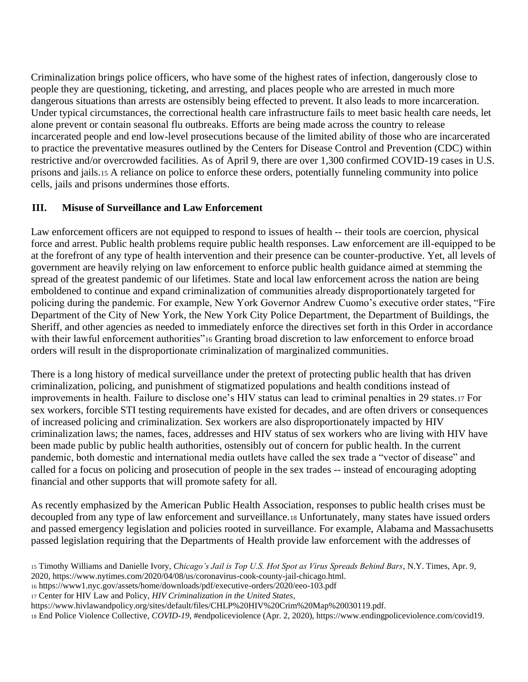Criminalization brings police officers, who have some of the highest rates of infection, dangerously close to people they are questioning, ticketing, and arresting, and places people who are arrested in much more dangerous situations than arrests are ostensibly being effected to prevent. It also leads to more incarceration. Under typical circumstances, the correctional health care infrastructure fails to meet basic health care needs, let alone prevent or contain seasonal flu outbreaks. Efforts are being made across the country to release incarcerated people and end low-level prosecutions because of the limited ability of those who are incarcerated to practice the preventative measures outlined by the Centers for Disease Control and Prevention (CDC) within restrictive and/or overcrowded facilities. As of April 9, there are over 1,300 confirmed COVID-19 cases in U.S. prisons and jails.<sup>15</sup> A reliance on police to enforce these orders, potentially funneling community into police cells, jails and prisons undermines those efforts.

## **III. Misuse of Surveillance and Law Enforcement**

Law enforcement officers are not equipped to respond to issues of health -- their tools are coercion, physical force and arrest. Public health problems require public health responses. Law enforcement are ill-equipped to be at the forefront of any type of health intervention and their presence can be counter-productive. Yet, all levels of government are heavily relying on law enforcement to enforce public health guidance aimed at stemming the spread of the greatest pandemic of our lifetimes. State and local law enforcement across the nation are being emboldened to continue and expand criminalization of communities already disproportionately targeted for policing during the pandemic. For example, New York Governor Andrew Cuomo's executive order states, "Fire Department of the City of New York, the New York City Police Department, the Department of Buildings, the Sheriff, and other agencies as needed to immediately enforce the directives set forth in this Order in accordance with their lawful enforcement authorities"<sup>16</sup> Granting broad discretion to law enforcement to enforce broad orders will result in the disproportionate criminalization of marginalized communities.

There is a long history of medical surveillance under the pretext of protecting public health that has driven criminalization, policing, and punishment of stigmatized populations and health conditions instead of improvements in health. Failure to disclose one's HIV status can lead to criminal penalties in 29 states.<sup>17</sup> For sex workers, forcible STI testing requirements have existed for decades, and are often drivers or consequences of increased policing and criminalization. Sex workers are also disproportionately impacted by HIV criminalization laws; the names, faces, addresses and HIV status of sex workers who are living with HIV have been made public by public health authorities, ostensibly out of concern for public health. In the current pandemic, both domestic and international media outlets have called the sex trade a "vector of disease" and called for a focus on policing and prosecution of people in the sex trades -- instead of encouraging adopting financial and other supports that will promote safety for all.

As recently emphasized by the American Public Health Association, responses to public health crises must be decoupled from any type of law enforcement and surveillance.<sup>18</sup> Unfortunately, many states have issued orders and passed emergency legislation and policies rooted in surveillance. For example, Alabama and Massachusetts passed legislation requiring that the Departments of Health provide law enforcement with the addresses of

- <sup>16</sup> https://www1.nyc.gov/assets/home/downloads/pdf/executive-orders/2020/eeo-103.pdf
- <sup>17</sup> Center for HIV Law and Policy, *HIV Criminalization in the United States*,
- https://www.hivlawandpolicy.org/sites/default/files/CHLP%20HIV%20Crim%20Map%20030119.pdf.

<sup>18</sup> End Police Violence Collective, *COVID-19*, #endpoliceviolence (Apr. 2, 2020), https://www.endingpoliceviolence.com/covid19.

<sup>15</sup> Timothy Williams and Danielle Ivory, *Chicago's Jail is Top U.S. Hot Spot as Virus Spreads Behind Bars*, N.Y. Times, Apr. 9, 2020, https://www.nytimes.com/2020/04/08/us/coronavirus-cook-county-jail-chicago.html.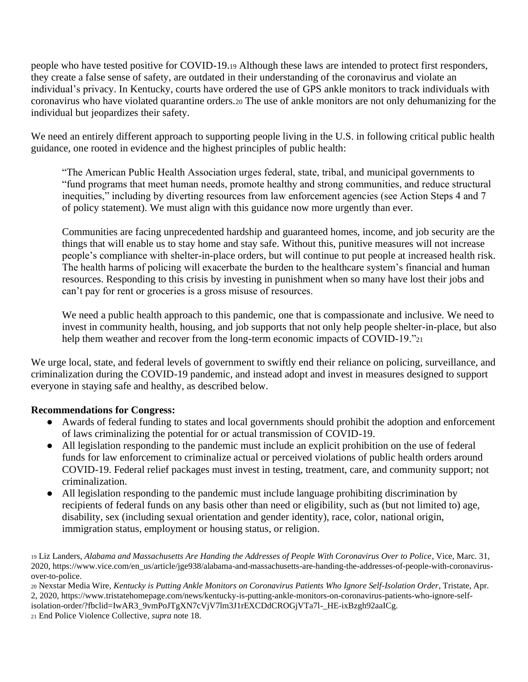people who have tested positive for COVID-19.<sup>19</sup> Although these laws are intended to protect first responders, they create a false sense of safety, are outdated in their understanding of the coronavirus and violate an individual's privacy. In Kentucky, courts have ordered the use of GPS ankle monitors to track individuals with coronavirus who have violated quarantine orders.<sup>20</sup> The use of ankle monitors are not only dehumanizing for the individual but jeopardizes their safety.

We need an entirely different approach to supporting people living in the U.S. in following critical public health guidance, one rooted in evidence and the highest principles of public health:

"The American Public Health Association urges federal, state, tribal, and municipal governments to "fund programs that meet human needs, promote healthy and strong communities, and reduce structural inequities," including by diverting resources from law enforcement agencies (see Action Steps 4 and 7 of policy statement). We must align with this guidance now more urgently than ever.

Communities are facing unprecedented hardship and guaranteed homes, income, and job security are the things that will enable us to stay home and stay safe. Without this, punitive measures will not increase people's compliance with shelter-in-place orders, but will continue to put people at increased health risk. The health harms of policing will exacerbate the burden to the healthcare system's financial and human resources. Responding to this crisis by investing in punishment when so many have lost their jobs and can't pay for rent or groceries is a gross misuse of resources.

We need a public health approach to this pandemic, one that is compassionate and inclusive. We need to invest in community health, housing, and job supports that not only help people shelter-in-place, but also help them weather and recover from the long-term economic impacts of COVID-19."21

We urge local, state, and federal levels of government to swiftly end their reliance on policing, surveillance, and criminalization during the COVID-19 pandemic, and instead adopt and invest in measures designed to support everyone in staying safe and healthy, as described below.

### **Recommendations for Congress:**

- Awards of federal funding to states and local governments should prohibit the adoption and enforcement of laws criminalizing the potential for or actual transmission of COVID-19.
- All legislation responding to the pandemic must include an explicit prohibition on the use of federal funds for law enforcement to criminalize actual or perceived violations of public health orders around COVID-19. Federal relief packages must invest in testing, treatment, care, and community support; not criminalization.
- All legislation responding to the pandemic must include language prohibiting discrimination by recipients of federal funds on any basis other than need or eligibility, such as (but not limited to) age, disability, sex (including sexual orientation and gender identity), race, color, national origin, immigration status, employment or housing status, or religion.

<sup>19</sup> Liz Landers, *Alabama and Massachusetts Are Handing the Addresses of People With Coronavirus Over to Police*, Vice, Marc. 31, 2020, https://www.vice.com/en\_us/article/jge938/alabama-and-massachusetts-are-handing-the-addresses-of-people-with-coronavirusover-to-police.

<sup>20</sup> Nexstar Media Wire, *Kentucky is Putting Ankle Monitors on Coronavirus Patients Who Ignore Self-Isolation Order*, Tristate, Apr. 2, 2020, https://www.tristatehomepage.com/news/kentucky-is-putting-ankle-monitors-on-coronavirus-patients-who-ignore-selfisolation-order/?fbclid=IwAR3\_9vmPoJTgXN7cVjV7lm3J1rEXCDdCROGjVTa7l-\_HE-ixBzgh92aaICg.

<sup>21</sup> End Police Violence Collective, *supra* note 18.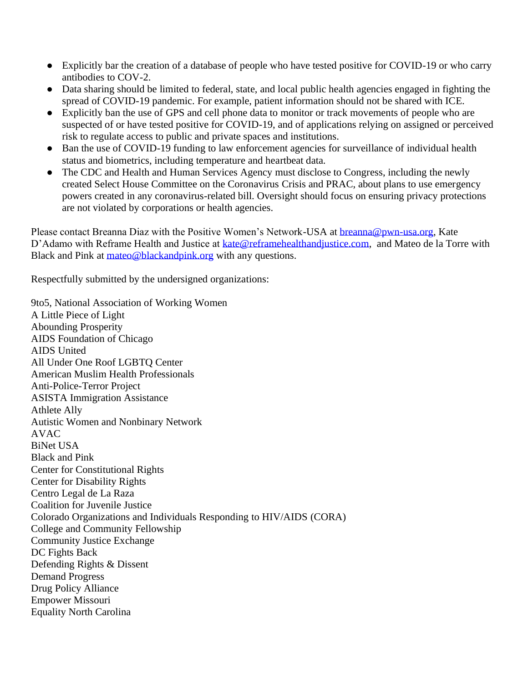- Explicitly bar the creation of a database of people who have tested positive for COVID-19 or who carry antibodies to COV-2.
- Data sharing should be limited to federal, state, and local public health agencies engaged in fighting the spread of COVID-19 pandemic. For example, patient information should not be shared with ICE.
- Explicitly ban the use of GPS and cell phone data to monitor or track movements of people who are suspected of or have tested positive for COVID-19, and of applications relying on assigned or perceived risk to regulate access to public and private spaces and institutions.
- Ban the use of COVID-19 funding to law enforcement agencies for surveillance of individual health status and biometrics, including temperature and heartbeat data.
- The CDC and Health and Human Services Agency must disclose to Congress, including the newly created Select House Committee on the Coronavirus Crisis and PRAC, about plans to use emergency powers created in any coronavirus-related bill. Oversight should focus on ensuring privacy protections are not violated by corporations or health agencies.

Please contact Breanna Diaz with the Positive Women's Network-USA at [breanna@pwn-usa.org,](mailto:breanna@pwn-usa.org) Kate D'Adamo with Reframe Health and Justice at kate@reframehealthandiustice.com, and Mateo de la Torre with Black and Pink at [mateo@blackandpink.org](mailto:mateo@blackandpink.org) with any questions.

Respectfully submitted by the undersigned organizations:

9to5, National Association of Working Women A Little Piece of Light Abounding Prosperity AIDS Foundation of Chicago AIDS United All Under One Roof LGBTQ Center American Muslim Health Professionals Anti-Police-Terror Project ASISTA Immigration Assistance Athlete Ally Autistic Women and Nonbinary Network AVAC BiNet USA Black and Pink Center for Constitutional Rights Center for Disability Rights Centro Legal de La Raza Coalition for Juvenile Justice Colorado Organizations and Individuals Responding to HIV/AIDS (CORA) College and Community Fellowship Community Justice Exchange DC Fights Back Defending Rights & Dissent Demand Progress Drug Policy Alliance Empower Missouri Equality North Carolina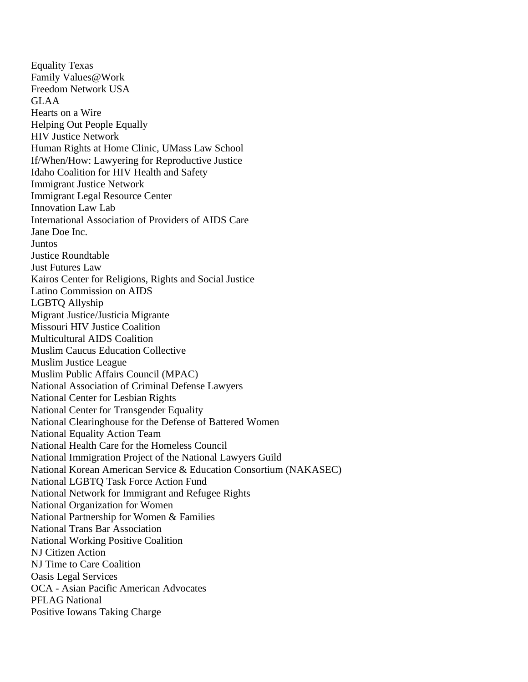Equality Texas Family Values@Work Freedom Network USA GLAA Hearts on a Wire Helping Out People Equally HIV Justice Network Human Rights at Home Clinic, UMass Law School If/When/How: Lawyering for Reproductive Justice Idaho Coalition for HIV Health and Safety Immigrant Justice Network Immigrant Legal Resource Center Innovation Law Lab International Association of Providers of AIDS Care Jane Doe Inc. Juntos Justice Roundtable Just Futures Law Kairos Center for Religions, Rights and Social Justice Latino Commission on AIDS LGBTQ Allyship Migrant Justice/Justicia Migrante Missouri HIV Justice Coalition Multicultural AIDS Coalition Muslim Caucus Education Collective Muslim Justice League Muslim Public Affairs Council (MPAC) National Association of Criminal Defense Lawyers National Center for Lesbian Rights National Center for Transgender Equality National Clearinghouse for the Defense of Battered Women National Equality Action Team National Health Care for the Homeless Council National Immigration Project of the National Lawyers Guild National Korean American Service & Education Consortium (NAKASEC) National LGBTQ Task Force Action Fund National Network for Immigrant and Refugee Rights National Organization for Women National Partnership for Women & Families National Trans Bar Association National Working Positive Coalition NJ Citizen Action NJ Time to Care Coalition Oasis Legal Services OCA - Asian Pacific American Advocates PFLAG National Positive Iowans Taking Charge